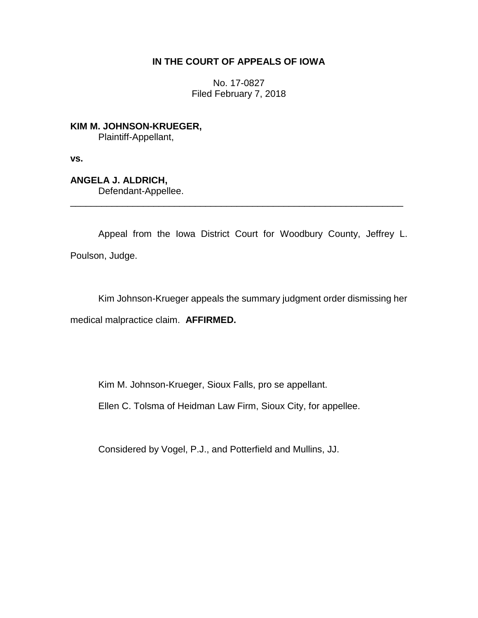## **IN THE COURT OF APPEALS OF IOWA**

No. 17-0827 Filed February 7, 2018

**KIM M. JOHNSON-KRUEGER,** Plaintiff-Appellant,

**vs.**

**ANGELA J. ALDRICH,** Defendant-Appellee.

Appeal from the Iowa District Court for Woodbury County, Jeffrey L. Poulson, Judge.

\_\_\_\_\_\_\_\_\_\_\_\_\_\_\_\_\_\_\_\_\_\_\_\_\_\_\_\_\_\_\_\_\_\_\_\_\_\_\_\_\_\_\_\_\_\_\_\_\_\_\_\_\_\_\_\_\_\_\_\_\_\_\_\_

Kim Johnson-Krueger appeals the summary judgment order dismissing her medical malpractice claim. **AFFIRMED.**

Kim M. Johnson-Krueger, Sioux Falls, pro se appellant.

Ellen C. Tolsma of Heidman Law Firm, Sioux City, for appellee.

Considered by Vogel, P.J., and Potterfield and Mullins, JJ.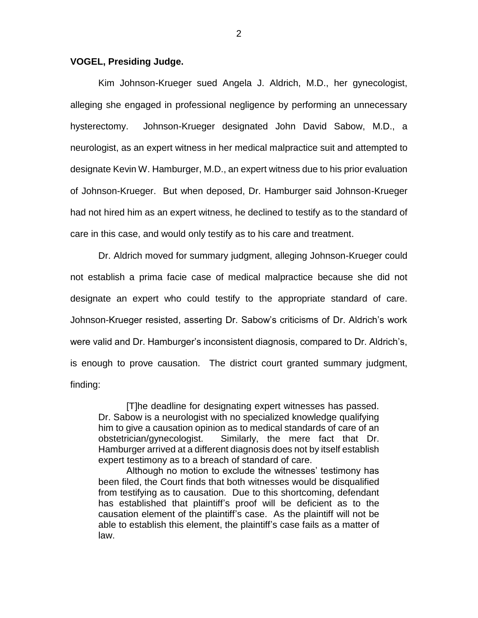## **VOGEL, Presiding Judge.**

Kim Johnson-Krueger sued Angela J. Aldrich, M.D., her gynecologist, alleging she engaged in professional negligence by performing an unnecessary hysterectomy. Johnson-Krueger designated John David Sabow, M.D., a neurologist, as an expert witness in her medical malpractice suit and attempted to designate Kevin W. Hamburger, M.D., an expert witness due to his prior evaluation of Johnson-Krueger. But when deposed, Dr. Hamburger said Johnson-Krueger had not hired him as an expert witness, he declined to testify as to the standard of care in this case, and would only testify as to his care and treatment.

Dr. Aldrich moved for summary judgment, alleging Johnson-Krueger could not establish a prima facie case of medical malpractice because she did not designate an expert who could testify to the appropriate standard of care. Johnson-Krueger resisted, asserting Dr. Sabow's criticisms of Dr. Aldrich's work were valid and Dr. Hamburger's inconsistent diagnosis, compared to Dr. Aldrich's, is enough to prove causation. The district court granted summary judgment, finding:

[T]he deadline for designating expert witnesses has passed. Dr. Sabow is a neurologist with no specialized knowledge qualifying him to give a causation opinion as to medical standards of care of an obstetrician/gynecologist. Similarly, the mere fact that Dr. Hamburger arrived at a different diagnosis does not by itself establish expert testimony as to a breach of standard of care.

Although no motion to exclude the witnesses' testimony has been filed, the Court finds that both witnesses would be disqualified from testifying as to causation. Due to this shortcoming, defendant has established that plaintiff's proof will be deficient as to the causation element of the plaintiff's case. As the plaintiff will not be able to establish this element, the plaintiff's case fails as a matter of law.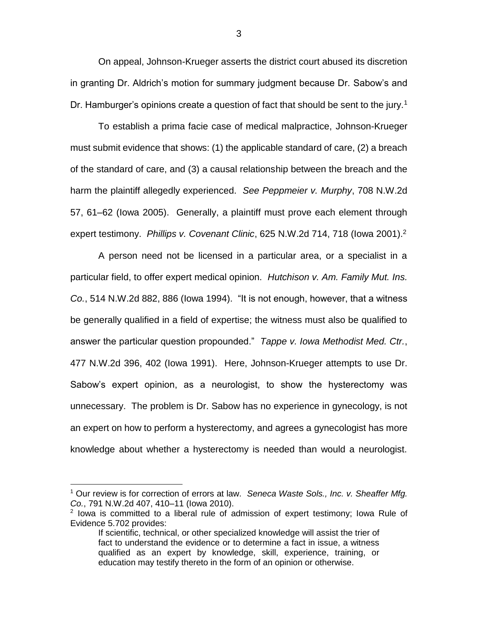On appeal, Johnson-Krueger asserts the district court abused its discretion in granting Dr. Aldrich's motion for summary judgment because Dr. Sabow's and Dr. Hamburger's opinions create a question of fact that should be sent to the jury.<sup>1</sup>

To establish a prima facie case of medical malpractice, Johnson-Krueger must submit evidence that shows: (1) the applicable standard of care, (2) a breach of the standard of care, and (3) a causal relationship between the breach and the harm the plaintiff allegedly experienced. *See Peppmeier v. Murphy*, 708 N.W.2d 57, 61–62 (Iowa 2005). Generally, a plaintiff must prove each element through expert testimony. *Phillips v. Covenant Clinic*, 625 N.W.2d 714, 718 (Iowa 2001).<sup>2</sup>

A person need not be licensed in a particular area, or a specialist in a particular field, to offer expert medical opinion. *Hutchison v. Am. Family Mut. Ins. Co.*, 514 N.W.2d 882, 886 (Iowa 1994). "It is not enough, however, that a witness be generally qualified in a field of expertise; the witness must also be qualified to answer the particular question propounded." *Tappe v. Iowa Methodist Med. Ctr.*, 477 N.W.2d 396, 402 (Iowa 1991). Here, Johnson-Krueger attempts to use Dr. Sabow's expert opinion, as a neurologist, to show the hysterectomy was unnecessary. The problem is Dr. Sabow has no experience in gynecology, is not an expert on how to perform a hysterectomy, and agrees a gynecologist has more knowledge about whether a hysterectomy is needed than would a neurologist.

 $\overline{a}$ 

3

<sup>1</sup> Our review is for correction of errors at law. *Seneca Waste Sols., Inc. v. Sheaffer Mfg. Co.*, 791 N.W.2d 407, 410–11 (Iowa 2010).

<sup>&</sup>lt;sup>2</sup> lowa is committed to a liberal rule of admission of expert testimony; lowa Rule of Evidence 5.702 provides:

If scientific, technical, or other specialized knowledge will assist the trier of fact to understand the evidence or to determine a fact in issue, a witness qualified as an expert by knowledge, skill, experience, training, or education may testify thereto in the form of an opinion or otherwise.